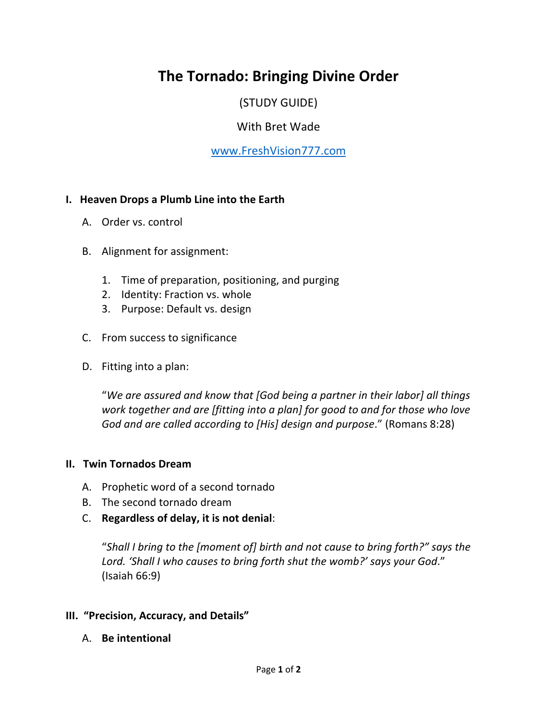# **The Tornado: Bringing Divine Order**

(STUDY GUIDE)

## With Bret Wade

## www.FreshVision777.com

### **I. Heaven Drops a Plumb Line into the Earth**

- A. Order vs. control
- B. Alignment for assignment:
	- 1. Time of preparation, positioning, and purging
	- 2. Identity: Fraction vs. whole
	- 3. Purpose: Default vs. design
- C. From success to significance
- D. Fitting into a plan:

"*We are assured and know that [God being a partner in their labor] all things work together and are [fitting into a plan] for good to and for those who love God and are called according to [His] design and purpose*." (Romans 8:28)

#### **II. Twin Tornados Dream**

- A. Prophetic word of a second tornado
- B. The second tornado dream
- C. **Regardless of delay, it is not denial**:

"*Shall I bring to the [moment of] birth and not cause to bring forth?" says the Lord. 'Shall I who causes to bring forth shut the womb?' says your God*." (Isaiah 66:9)

#### **III. "Precision, Accuracy, and Details"**

A. **Be intentional**